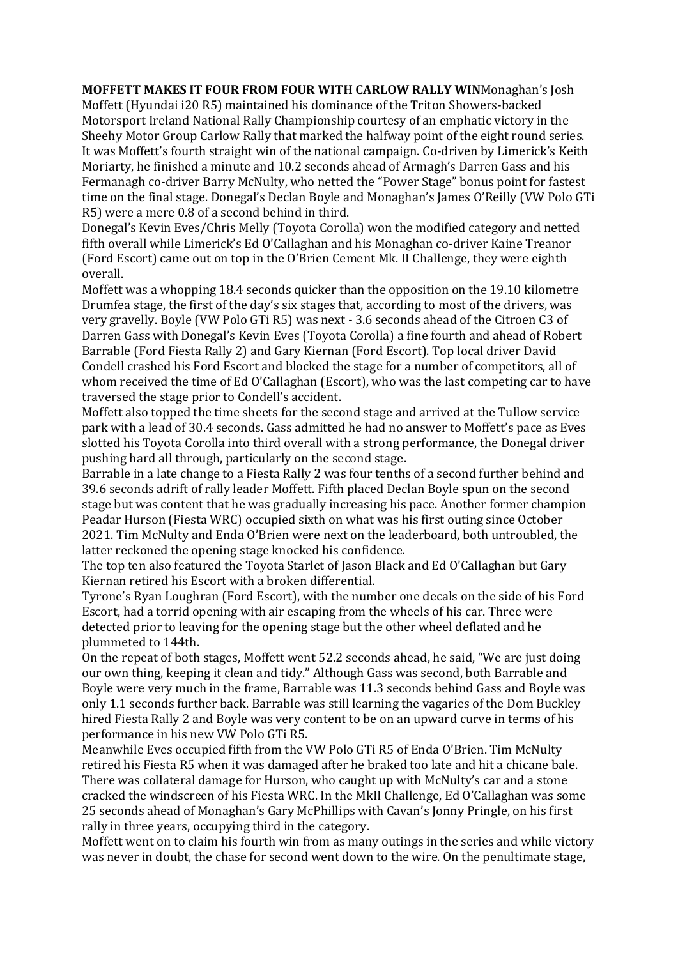**MOFFETT MAKES IT FOUR FROM FOUR WITH CARLOW RALLY WIN**Monaghan's Josh Moffett (Hyundai i20 R5) maintained his dominance of the Triton Showers-backed Motorsport Ireland National Rally Championship courtesy of an emphatic victory in the Sheehy Motor Group Carlow Rally that marked the halfway point of the eight round series. It was Moffett's fourth straight win of the national campaign. Co-driven by Limerick's Keith Moriarty, he finished a minute and 10.2 seconds ahead of Armagh's Darren Gass and his Fermanagh co-driver Barry McNulty, who netted the "Power Stage" bonus point for fastest time on the final stage. Donegal's Declan Boyle and Monaghan's James O'Reilly (VW Polo GTi R5) were a mere 0.8 of a second behind in third.

Donegal's Kevin Eves/Chris Melly (Toyota Corolla) won the modified category and netted fifth overall while Limerick's Ed O'Callaghan and his Monaghan co-driver Kaine Treanor (Ford Escort) came out on top in the O'Brien Cement Mk. II Challenge, they were eighth overall.

Moffett was a whopping 18.4 seconds quicker than the opposition on the 19.10 kilometre Drumfea stage, the first of the day's six stages that, according to most of the drivers, was very gravelly. Boyle (VW Polo GTi R5) was next - 3.6 seconds ahead of the Citroen C3 of Darren Gass with Donegal's Kevin Eves (Toyota Corolla) a fine fourth and ahead of Robert Barrable (Ford Fiesta Rally 2) and Gary Kiernan (Ford Escort). Top local driver David Condell crashed his Ford Escort and blocked the stage for a number of competitors, all of whom received the time of Ed O'Callaghan (Escort), who was the last competing car to have traversed the stage prior to Condell's accident.

Moffett also topped the time sheets for the second stage and arrived at the Tullow service park with a lead of 30.4 seconds. Gass admitted he had no answer to Moffett's pace as Eves slotted his Toyota Corolla into third overall with a strong performance, the Donegal driver pushing hard all through, particularly on the second stage.

Barrable in a late change to a Fiesta Rally 2 was four tenths of a second further behind and 39.6 seconds adrift of rally leader Moffett. Fifth placed Declan Boyle spun on the second stage but was content that he was gradually increasing his pace. Another former champion Peadar Hurson (Fiesta WRC) occupied sixth on what was his first outing since October 2021. Tim McNulty and Enda O'Brien were next on the leaderboard, both untroubled, the latter reckoned the opening stage knocked his confidence.

The top ten also featured the Toyota Starlet of Jason Black and Ed O'Callaghan but Gary Kiernan retired his Escort with a broken differential.

Tyrone's Ryan Loughran (Ford Escort), with the number one decals on the side of his Ford Escort, had a torrid opening with air escaping from the wheels of his car. Three were detected prior to leaving for the opening stage but the other wheel deflated and he plummeted to 144th.

On the repeat of both stages, Moffett went 52.2 seconds ahead, he said, "We are just doing our own thing, keeping it clean and tidy." Although Gass was second, both Barrable and Boyle were very much in the frame, Barrable was 11.3 seconds behind Gass and Boyle was only 1.1 seconds further back. Barrable was still learning the vagaries of the Dom Buckley hired Fiesta Rally 2 and Boyle was very content to be on an upward curve in terms of his performance in his new VW Polo GTi R5.

Meanwhile Eves occupied fifth from the VW Polo GTi R5 of Enda O'Brien. Tim McNulty retired his Fiesta R5 when it was damaged after he braked too late and hit a chicane bale. There was collateral damage for Hurson, who caught up with McNulty's car and a stone cracked the windscreen of his Fiesta WRC. In the MkII Challenge, Ed O'Callaghan was some 25 seconds ahead of Monaghan's Gary McPhillips with Cavan's Jonny Pringle, on his first rally in three years, occupying third in the category.

Moffett went on to claim his fourth win from as many outings in the series and while victory was never in doubt, the chase for second went down to the wire. On the penultimate stage,